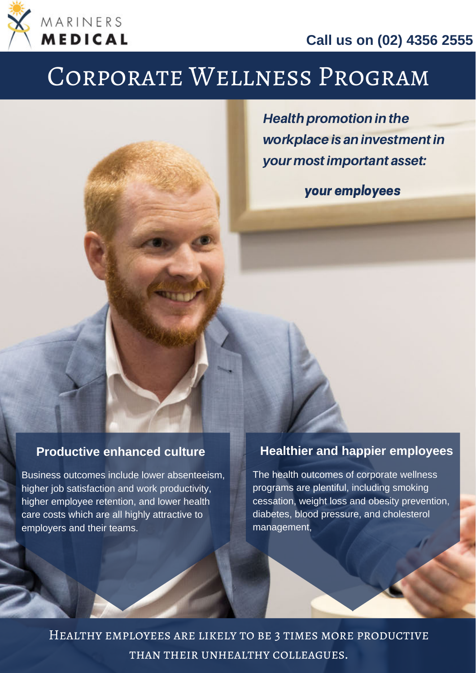

**Call us on (02) 4356 2555**

# Corporate Wellness Program

**Health promotion in the** workplace is an investment in your mostimportant asset:

your employees

#### **Productive enhanced culture**

Business outcomes include lower absenteeism, higher job satisfaction and work productivity, higher employee retention, and lower health care costs which are all highly attractive to employers and their teams.

#### **Healthier and happier employees**

The health outcomes of corporate wellness programs are plentiful, including smoking cessation, weight loss and obesity prevention, diabetes, blood pressure, and cholesterol management,

Healthy employees are likely to be 3 times more productive than their unhealthy colleagues.